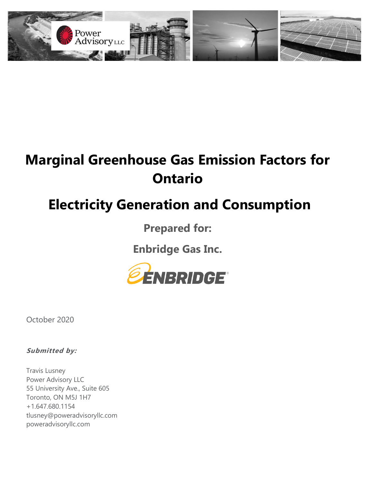

# **Marginal Greenhouse Gas Emission Factors for Ontario**

# **Electricity Generation and Consumption**

**Prepared for:**

**Enbridge Gas Inc.**



October 2020

**Submitted by:**

Travis Lusney Power Advisory LLC 55 University Ave., Suite 605 Toronto, ON M5J 1H7 +1.647.680.1154 tlusney@poweradvisoryllc.com poweradvisoryllc.com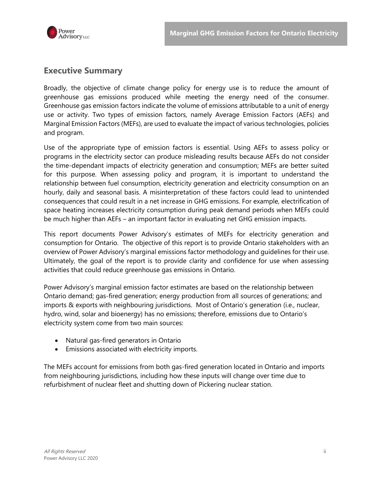

## **Executive Summary**

Broadly, the objective of climate change policy for energy use is to reduce the amount of greenhouse gas emissions produced while meeting the energy need of the consumer. Greenhouse gas emission factors indicate the volume of emissions attributable to a unit of energy use or activity. Two types of emission factors, namely Average Emission Factors (AEFs) and Marginal Emission Factors (MEFs), are used to evaluate the impact of various technologies, policies and program.

Use of the appropriate type of emission factors is essential. Using AEFs to assess policy or programs in the electricity sector can produce misleading results because AEFs do not consider the time-dependant impacts of electricity generation and consumption; MEFs are better suited for this purpose. When assessing policy and program, it is important to understand the relationship between fuel consumption, electricity generation and electricity consumption on an hourly, daily and seasonal basis. A misinterpretation of these factors could lead to unintended consequences that could result in a net increase in GHG emissions. For example, electrification of space heating increases electricity consumption during peak demand periods when MEFs could be much higher than AEFs – an important factor in evaluating net GHG emission impacts.

This report documents Power Advisory's estimates of MEFs for electricity generation and consumption for Ontario. The objective of this report is to provide Ontario stakeholders with an overview of Power Advisory's marginal emissions factor methodology and guidelines for their use. Ultimately, the goal of the report is to provide clarity and confidence for use when assessing activities that could reduce greenhouse gas emissions in Ontario.

Power Advisory's marginal emission factor estimates are based on the relationship between Ontario demand; gas-fired generation; energy production from all sources of generations; and imports & exports with neighbouring jurisdictions. Most of Ontario's generation (i.e., nuclear, hydro, wind, solar and bioenergy) has no emissions; therefore, emissions due to Ontario's electricity system come from two main sources:

- Natural gas-fired generators in Ontario
- Emissions associated with electricity imports.

The MEFs account for emissions from both gas-fired generation located in Ontario and imports from neighbouring jurisdictions, including how these inputs will change over time due to refurbishment of nuclear fleet and shutting down of Pickering nuclear station.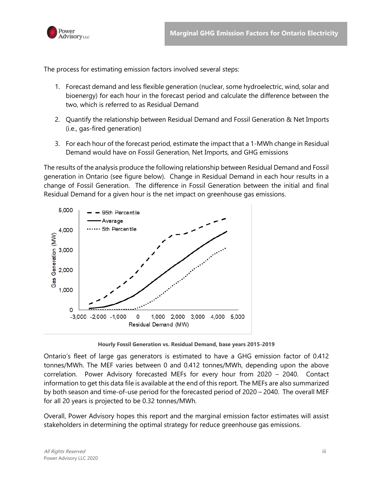

The process for estimating emission factors involved several steps:

- 1. Forecast demand and less flexible generation (nuclear, some hydroelectric, wind, solar and bioenergy) for each hour in the forecast period and calculate the difference between the two, which is referred to as Residual Demand
- 2. Quantify the relationship between Residual Demand and Fossil Generation & Net Imports (i.e., gas-fired generation)
- 3. For each hour of the forecast period, estimate the impact that a 1-MWh change in Residual Demand would have on Fossil Generation, Net Imports, and GHG emissions

The results of the analysis produce the following relationship between Residual Demand and Fossil generation in Ontario (see figure below). Change in Residual Demand in each hour results in a change of Fossil Generation. The difference in Fossil Generation between the initial and final Residual Demand for a given hour is the net impact on greenhouse gas emissions.



**Hourly Fossil Generation vs. Residual Demand, base years 2015-2019**

Ontario's fleet of large gas generators is estimated to have a GHG emission factor of 0.412 tonnes/MWh. The MEF varies between 0 and 0.412 tonnes/MWh, depending upon the above correlation. Power Advisory forecasted MEFs for every hour from 2020 – 2040. Contact information to get this data file is available at the end of this report. The MEFs are also summarized by both season and time-of-use period for the forecasted period of 2020 – 2040. The overall MEF for all 20 years is projected to be 0.32 tonnes/MWh.

Overall, Power Advisory hopes this report and the marginal emission factor estimates will assist stakeholders in determining the optimal strategy for reduce greenhouse gas emissions.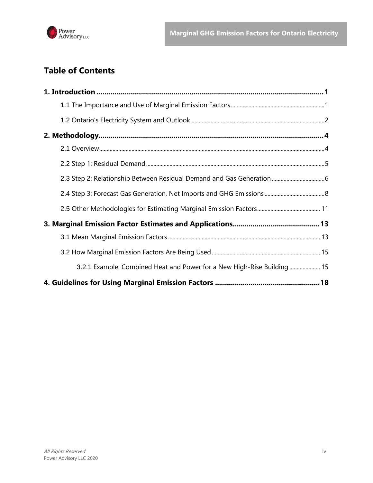

# **Table of Contents**

| 3.2.1 Example: Combined Heat and Power for a New High-Rise Building  15 |  |
|-------------------------------------------------------------------------|--|
|                                                                         |  |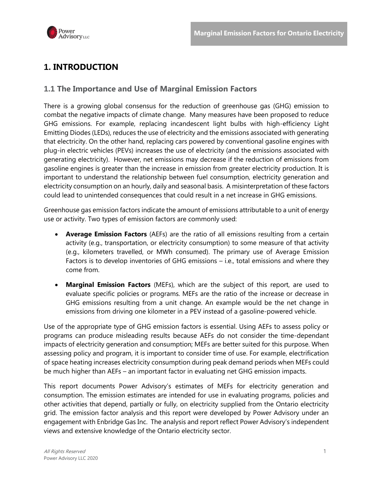

# <span id="page-4-0"></span>**1. INTRODUCTION**

#### <span id="page-4-1"></span>**1.1 The Importance and Use of Marginal Emission Factors**

There is a growing global consensus for the reduction of greenhouse gas (GHG) emission to combat the negative impacts of climate change. Many measures have been proposed to reduce GHG emissions. For example, replacing incandescent light bulbs with high-efficiency Light Emitting Diodes (LEDs), reduces the use of electricity and the emissions associated with generating that electricity. On the other hand, replacing cars powered by conventional gasoline engines with plug-in electric vehicles (PEVs) increases the use of electricity (and the emissions associated with generating electricity). However, net emissions may decrease if the reduction of emissions from gasoline engines is greater than the increase in emission from greater electricity production. It is important to understand the relationship between fuel consumption, electricity generation and electricity consumption on an hourly, daily and seasonal basis. A misinterpretation of these factors could lead to unintended consequences that could result in a net increase in GHG emissions.

Greenhouse gas emission factors indicate the amount of emissions attributable to a unit of energy use or activity. Two types of emission factors are commonly used:

- **Average Emission Factors** (AEFs) are the ratio of all emissions resulting from a certain activity (e.g., transportation, or electricity consumption) to some measure of that activity (e.g., kilometers travelled, or MWh consumed). The primary use of Average Emission Factors is to develop inventories of GHG emissions – i.e., total emissions and where they come from.
- **Marginal Emission Factors** (MEFs), which are the subject of this report, are used to evaluate specific policies or programs. MEFs are the ratio of the increase or decrease in GHG emissions resulting from a unit change. An example would be the net change in emissions from driving one kilometer in a PEV instead of a gasoline-powered vehicle.

Use of the appropriate type of GHG emission factors is essential. Using AEFs to assess policy or programs can produce misleading results because AEFs do not consider the time-dependant impacts of electricity generation and consumption; MEFs are better suited for this purpose. When assessing policy and program, it is important to consider time of use. For example, electrification of space heating increases electricity consumption during peak demand periods when MEFs could be much higher than AEFs – an important factor in evaluating net GHG emission impacts.

This report documents Power Advisory's estimates of MEFs for electricity generation and consumption. The emission estimates are intended for use in evaluating programs, policies and other activities that depend, partially or fully, on electricity supplied from the Ontario electricity grid. The emission factor analysis and this report were developed by Power Advisory under an engagement with Enbridge Gas Inc. The analysis and report reflect Power Advisory's independent views and extensive knowledge of the Ontario electricity sector.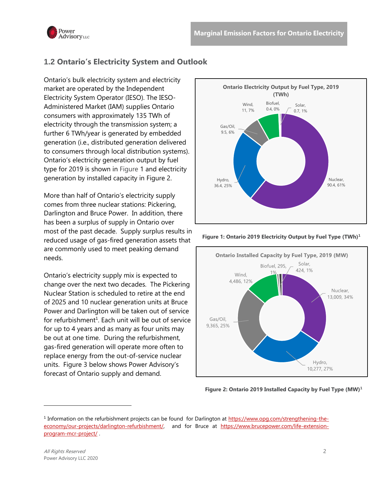

## <span id="page-5-0"></span>**1.2 Ontario's Electricity System and Outlook**

Ontario's bulk electricity system and electricity market are operated by the Independent Electricity System Operator (IESO). The IESO-Administered Market (IAM) supplies Ontario consumers with approximately 135 TWh of electricity through the transmission system; a further 6 TWh/year is generated by embedded generation (i.e., distributed generation delivered to consumers through local distribution systems). Ontario's electricity generation output by fuel type for 2019 is shown in [Figure 1](#page-5-1) and electricity generation by installed capacity in [Figure 2.](#page-5-2)

More than half of Ontario's electricity supply comes from three nuclear stations: Pickering, Darlington and Bruce Power. In addition, there has been a surplus of supply in Ontario over most of the past decade. Supply surplus results in reduced usage of gas-fired generation assets that are commonly used to meet peaking demand needs.

Ontario's electricity supply mix is expected to change over the next two decades. The Pickering Nuclear Station is scheduled to retire at the end of 2025 and 10 nuclear generation units at Bruce Power and Darlington will be taken out of service for refurbishment<sup>1</sup>. Each unit will be out of service for up to 4 years and as many as four units may be out at one time. During the refurbishment, gas-fired generation will operate more often to replace energy from the out-of-service nuclear units. [Figure 3](#page-6-0) below shows Power Advisory's forecast of Ontario supply and demand.



<span id="page-5-1"></span>**Figure 1: Ontario 2019 Electricity Output by Fuel Type (TWh)1**



<span id="page-5-2"></span>**Figure 2: Ontario 2019 Installed Capacity by Fuel Type (MW)<sup>1</sup>**

<sup>&</sup>lt;sup>1</sup> Information on the refurbishment projects can be found for Darlington at [https://www.opg.com/strengthening-the](https://www.opg.com/strengthening-the-economy/our-projects/darlington-refurbishment/)[economy/our-projects/darlington-refurbishment/,](https://www.opg.com/strengthening-the-economy/our-projects/darlington-refurbishment/) and for Bruce at [https://www.brucepower.com/life-extension](https://www.brucepower.com/life-extension-program-mcr-project/)[program-mcr-project/](https://www.brucepower.com/life-extension-program-mcr-project/) .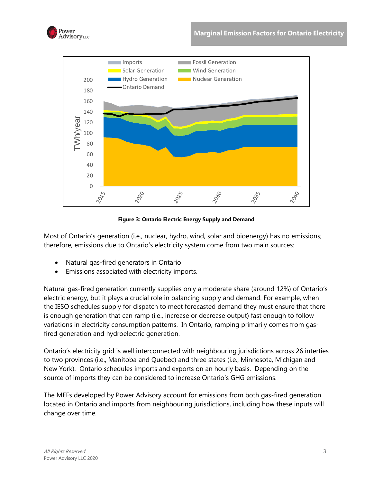



**Figure 3: Ontario Electric Energy Supply and Demand**

<span id="page-6-0"></span>Most of Ontario's generation (i.e., nuclear, hydro, wind, solar and bioenergy) has no emissions; therefore, emissions due to Ontario's electricity system come from two main sources:

- Natural gas-fired generators in Ontario
- Emissions associated with electricity imports.

Natural gas-fired generation currently supplies only a moderate share (around 12%) of Ontario's electric energy, but it plays a crucial role in balancing supply and demand. For example, when the IESO schedules supply for dispatch to meet forecasted demand they must ensure that there is enough generation that can ramp (i.e., increase or decrease output) fast enough to follow variations in electricity consumption patterns. In Ontario, ramping primarily comes from gasfired generation and hydroelectric generation.

Ontario's electricity grid is well interconnected with neighbouring jurisdictions across 26 interties to two provinces (i.e., Manitoba and Quebec) and three states (i.e., Minnesota, Michigan and New York). Ontario schedules imports and exports on an hourly basis. Depending on the source of imports they can be considered to increase Ontario's GHG emissions.

The MEFs developed by Power Advisory account for emissions from both gas-fired generation located in Ontario and imports from neighbouring jurisdictions, including how these inputs will change over time.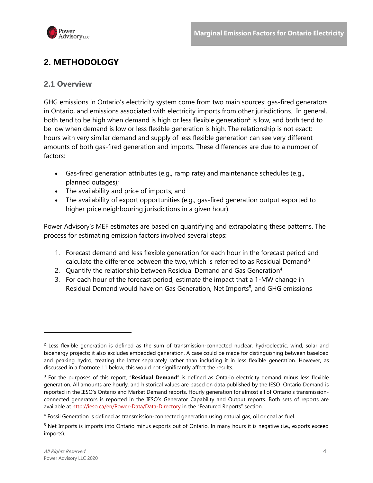

# <span id="page-7-0"></span>**2. METHODOLOGY**

#### <span id="page-7-1"></span>**2.1 Overview**

GHG emissions in Ontario's electricity system come from two main sources: gas-fired generators in Ontario, and emissions associated with electricity imports from other jurisdictions. In general, both tend to be high when demand is high or less flexible generation<sup>2</sup> is low, and both tend to be low when demand is low or less flexible generation is high. The relationship is not exact: hours with very similar demand and supply of less flexible generation can see very different amounts of both gas-fired generation and imports. These differences are due to a number of factors:

- Gas-fired generation attributes (e.g., ramp rate) and maintenance schedules (e.g., planned outages);
- The availability and price of imports; and
- The availability of export opportunities (e.g., gas-fired generation output exported to higher price neighbouring jurisdictions in a given hour).

Power Advisory's MEF estimates are based on quantifying and extrapolating these patterns. The process for estimating emission factors involved several steps:

- 1. Forecast demand and less flexible generation for each hour in the forecast period and calculate the difference between the two, which is referred to as Residual Demand<sup>3</sup>
- 2. Quantify the relationship between Residual Demand and Gas Generation<sup>4</sup>
- 3. For each hour of the forecast period, estimate the impact that a 1-MW change in Residual Demand would have on Gas Generation, Net Imports<sup>5</sup>, and GHG emissions

 $2$  Less flexible generation is defined as the sum of transmission-connected nuclear, hydroelectric, wind, solar and bioenergy projects; it also excludes embedded generation. A case could be made for distinguishing between baseload and peaking hydro, treating the latter separately rather than including it in less flexible generation. However, as discussed in a footnote 11 below, this would not significantly affect the results.

<sup>3</sup> For the purposes of this report, "**Residual Demand**" is defined as Ontario electricity demand minus less flexible generation. All amounts are hourly, and historical values are based on data published by the IESO. Ontario Demand is reported in the IESO's Ontario and Market Demand reports. Hourly generation for almost all of Ontario's transmissionconnected generators is reported in the IESO's Generator Capability and Output reports. Both sets of reports are available at<http://ieso.ca/en/Power-Data/Data-Directory> in the "Featured Reports" section.

<sup>4</sup> Fossil Generation is defined as transmission-connected generation using natural gas, oil or coal as fuel.

<sup>5</sup> Net Imports is imports into Ontario minus exports out of Ontario. In many hours it is negative (i.e., exports exceed imports).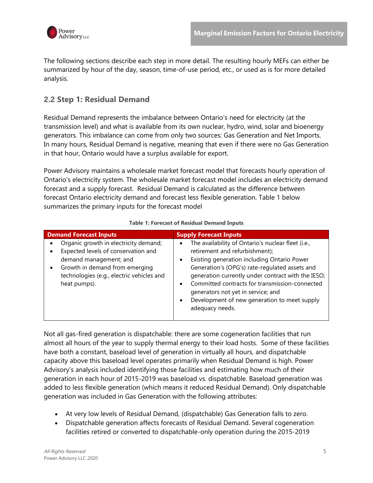

The following sections describe each step in more detail. The resulting hourly MEFs can either be summarized by hour of the day, season, time-of-use period, etc., or used as is for more detailed analysis.

#### <span id="page-8-0"></span>**2.2 Step 1: Residual Demand**

Residual Demand represents the imbalance between Ontario's need for electricity (at the transmission level) and what is available from its own nuclear, hydro, wind, solar and bioenergy generators. This imbalance can come from only two sources: Gas Generation and Net Imports. In many hours, Residual Demand is negative, meaning that even if there were no Gas Generation in that hour, Ontario would have a surplus available for export.

Power Advisory maintains a wholesale market forecast model that forecasts hourly operation of Ontario's electricity system. The wholesale market forecast model includes an electricity demand forecast and a supply forecast. Residual Demand is calculated as the difference between forecast Ontario electricity demand and forecast less flexible generation. [Table 1](#page-8-1) below summarizes the primary inputs for the forecast model

<span id="page-8-1"></span>

| <b>Demand Forecast Inputs</b>                                                                                                                                                                         | <b>Supply Forecast Inputs</b>                                                                                                                                                                                                                                                                                                                                                                                                         |  |  |  |  |
|-------------------------------------------------------------------------------------------------------------------------------------------------------------------------------------------------------|---------------------------------------------------------------------------------------------------------------------------------------------------------------------------------------------------------------------------------------------------------------------------------------------------------------------------------------------------------------------------------------------------------------------------------------|--|--|--|--|
| Organic growth in electricity demand;<br>Expected levels of conservation and<br>demand management; and<br>Growth in demand from emerging<br>technologies (e.g., electric vehicles and<br>heat pumps). | The availability of Ontario's nuclear fleet (i.e.,<br>retirement and refurbishment);<br>Existing generation including Ontario Power<br>$\bullet$<br>Generation's (OPG's) rate-regulated assets and<br>generation currently under contract with the IESO;<br>Committed contracts for transmission-connected<br>$\bullet$<br>generators not yet in service; and<br>Development of new generation to meet supply<br>٠<br>adequacy needs. |  |  |  |  |

#### **Table 1: Forecast of Residual Demand Inputs**

Not all gas-fired generation is dispatchable: there are some cogeneration facilities that run almost all hours of the year to supply thermal energy to their load hosts. Some of these facilities have both a constant, baseload level of generation in virtually all hours, and dispatchable capacity above this baseload level operates primarily when Residual Demand is high. Power Advisory's analysis included identifying those facilities and estimating how much of their generation in each hour of 2015-2019 was baseload vs. dispatchable. Baseload generation was added to less flexible generation (which means it reduced Residual Demand). Only dispatchable generation was included in Gas Generation with the following attributes:

- At very low levels of Residual Demand, (dispatchable) Gas Generation falls to zero.
- Dispatchable generation affects forecasts of Residual Demand. Several cogeneration facilities retired or converted to dispatchable-only operation during the 2015-2019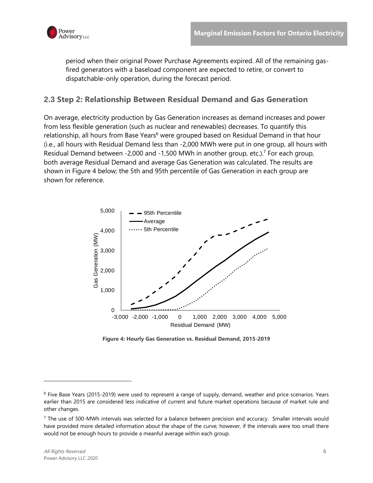

period when their original Power Purchase Agreements expired. All of the remaining gasfired generators with a baseload component are expected to retire, or convert to dispatchable-only operation, during the forecast period.

#### <span id="page-9-0"></span>**2.3 Step 2: Relationship Between Residual Demand and Gas Generation**

On average, electricity production by Gas Generation increases as demand increases and power from less flexible generation (such as nuclear and renewables) decreases. To quantify this relationship, all hours from Base Years<sup>6</sup> were grouped based on Residual Demand in that hour (i.e., all hours with Residual Demand less than -2,000 MWh were put in one group, all hours with Residual Demand between -2,000 and -1,500 MWh in another group, etc.). <sup>7</sup> For each group, both average Residual Demand and average Gas Generation was calculated. The results are shown in [Figure 4](#page-9-1) below; the 5th and 95th percentile of Gas Generation in each group are shown for reference.



**Figure 4: Hourly Gas Generation vs. Residual Demand, 2015-2019**

<span id="page-9-1"></span><sup>6</sup> Five Base Years (2015-2019) were used to represent a range of supply, demand, weather and price scenarios. Years earlier than 2015 are considered less indicative of current and future market operations because of market rule and other changes.

<sup>7</sup> The use of 500-MWh intervals was selected for a balance between precision and accuracy. Smaller intervals would have provided more detailed information about the shape of the curve; however, if the intervals were too small there would not be enough hours to provide a meanful average within each group.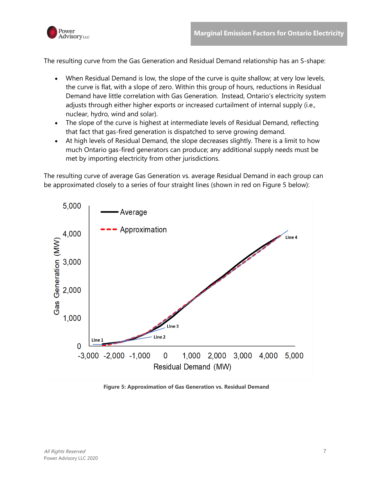

The resulting curve from the Gas Generation and Residual Demand relationship has an S-shape:

- When Residual Demand is low, the slope of the curve is quite shallow; at very low levels, the curve is flat, with a slope of zero. Within this group of hours, reductions in Residual Demand have little correlation with Gas Generation. Instead, Ontario's electricity system adjusts through either higher exports or increased curtailment of internal supply (i.e., nuclear, hydro, wind and solar).
- The slope of the curve is highest at intermediate levels of Residual Demand, reflecting that fact that gas-fired generation is dispatched to serve growing demand.
- At high levels of Residual Demand, the slope decreases slightly. There is a limit to how much Ontario gas-fired generators can produce; any additional supply needs must be met by importing electricity from other jurisdictions.

The resulting curve of average Gas Generation vs. average Residual Demand in each group can be approximated closely to a series of four straight lines (shown in red on [Figure 5](#page-10-0) below):



<span id="page-10-0"></span>**Figure 5: Approximation of Gas Generation vs. Residual Demand**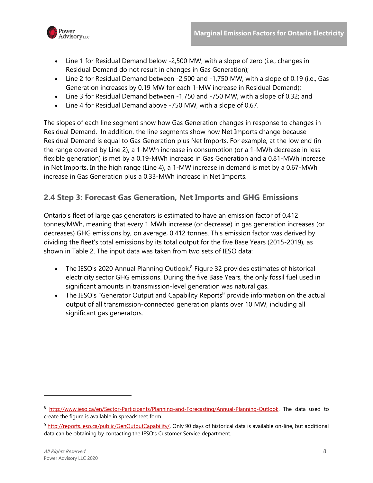

- Line 1 for Residual Demand below -2,500 MW, with a slope of zero (i.e., changes in Residual Demand do not result in changes in Gas Generation);
- Line 2 for Residual Demand between -2,500 and -1,750 MW, with a slope of 0.19 (i.e., Gas Generation increases by 0.19 MW for each 1-MW increase in Residual Demand);
- Line 3 for Residual Demand between -1,750 and -750 MW, with a slope of 0.32; and
- Line 4 for Residual Demand above -750 MW, with a slope of 0.67.

The slopes of each line segment show how Gas Generation changes in response to changes in Residual Demand. In addition, the line segments show how Net Imports change because Residual Demand is equal to Gas Generation plus Net Imports. For example, at the low end (in the range covered by Line 2), a 1-MWh increase in consumption (or a 1-MWh decrease in less flexible generation) is met by a 0.19-MWh increase in Gas Generation and a 0.81-MWh increase in Net Imports. In the high range (Line 4), a 1-MW increase in demand is met by a 0.67-MWh increase in Gas Generation plus a 0.33-MWh increase in Net Imports.

### <span id="page-11-0"></span>**2.4 Step 3: Forecast Gas Generation, Net Imports and GHG Emissions**

Ontario's fleet of large gas generators is estimated to have an emission factor of 0.412 tonnes/MWh, meaning that every 1 MWh increase (or decrease) in gas generation increases (or decreases) GHG emissions by, on average, 0.412 tonnes. This emission factor was derived by dividing the fleet's total emissions by its total output for the five Base Years (2015-2019), as shown in [Table 2.](#page-12-0) The input data was taken from two sets of IESO data:

- The IESO's 2020 Annual Planning Outlook, $8$  Figure 32 provides estimates of historical electricity sector GHG emissions. During the five Base Years, the only fossil fuel used in significant amounts in transmission-level generation was natural gas.
- The IESO's "Generator Output and Capability Reports<sup>9</sup> provide information on the actual output of all transmission-connected generation plants over 10 MW, including all significant gas generators.

<sup>8</sup> [http://www.ieso.ca/en/Sector-Participants/Planning-and-Forecasting/Annual-Planning-Outlook.](http://www.ieso.ca/en/Sector-Participants/Planning-and-Forecasting/Annual-Planning-Outlook) The data used to create the figure is available in spreadsheet form.

<sup>9</sup> [http://reports.ieso.ca/public/GenOutputCapability/.](http://reports.ieso.ca/public/GenOutputCapability/) Only 90 days of historical data is available on-line, but additional data can be obtaining by contacting the IESO's Customer Service department.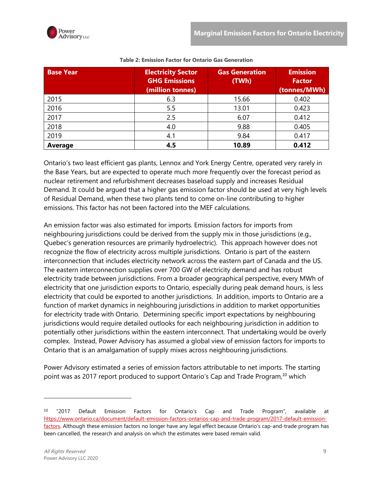Power

<span id="page-12-0"></span>

| <b>Base Year</b> | <b>Electricity Sector</b><br><b>GHG Emissions</b><br>(million tonnes) | <b>Gas Generation</b><br>(TWh) | <b>Emission</b><br><b>Factor</b><br>(tonnes/MWh) |  |
|------------------|-----------------------------------------------------------------------|--------------------------------|--------------------------------------------------|--|
| 2015             | 6.3                                                                   | 15.66                          | 0.402                                            |  |
| 2016             | 5.5                                                                   | 13.01                          | 0.423                                            |  |
| 2017             | 2.5                                                                   | 6.07                           | 0.412                                            |  |
| 2018             | 4.0                                                                   | 9.88                           | 0.405                                            |  |
| 2019             | 4.1                                                                   | 9.84                           | 0.417                                            |  |
| Average          | 4.5                                                                   | 10.89                          | 0.412                                            |  |

#### **Table 2: Emission Factor for Ontario Gas Generation**

Ontario's two least efficient gas plants, Lennox and York Energy Centre, operated very rarely in the Base Years, but are expected to operate much more frequently over the forecast period as nuclear retirement and refurbishment decreases baseload supply and increases Residual Demand. It could be argued that a higher gas emission factor should be used at very high levels of Residual Demand, when these two plants tend to come on-line contributing to higher emissions. This factor has not been factored into the MEF calculations.

An emission factor was also estimated for imports. Emission factors for imports from neighbouring jurisdictions could be derived from the supply mix in those jurisdictions (e.g., Quebec's generation resources are primarily hydroelectric). This approach however does not recognize the flow of electricity across multiple jurisdictions. Ontario is part of the eastern interconnection that includes electricity network across the eastern part of Canada and the US. The eastern interconnection supplies over 700 GW of electricity demand and has robust electricity trade between jurisdictions. From a broader geographical perspective, every MWh of electricity that one jurisdiction exports to Ontario, especially during peak demand hours, is less electricity that could be exported to another jurisdictions. In addition, imports to Ontario are a function of market dynamics in neighbouring jurisdictions in addition to market opportunities for electricity trade with Ontario. Determining specific import expectations by neighbouring jurisdictions would require detailed outlooks for each neighbouring jurisdiction in addition to potentially other jurisdictions within the eastern interconnect. That undertaking would be overly complex. Instead, Power Advisory has assumed a global view of emission factors for imports to Ontario that is an amalgamation of supply mixes across neighbouring jurisdictions.

Power Advisory estimated a series of emission factors attributable to net imports. The starting point was as 2017 report produced to support Ontario's Cap and Trade Program,<sup>10</sup> which

<sup>&</sup>lt;sup>10</sup> "2017 Default Emission Factors for Ontario's Cap and Trade Program", available at [https://www.ontario.ca/document/default-emission-factors-ontarios-cap-and-trade-program/2017-default-emission](https://www.ontario.ca/document/default-emission-factors-ontarios-cap-and-trade-program/2017-default-emission-factors)[factors.](https://www.ontario.ca/document/default-emission-factors-ontarios-cap-and-trade-program/2017-default-emission-factors) Although these emission factors no longer have any legal effect because Ontario's cap-and-trade program has been cancelled, the research and analysis on which the estimates were based remain valid.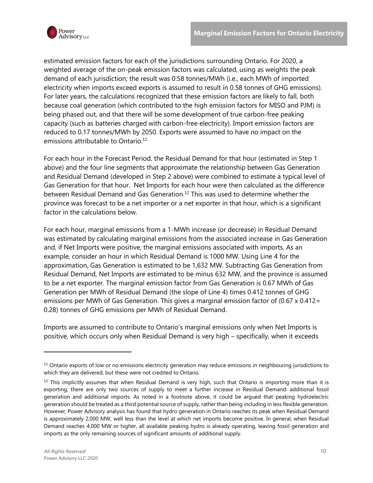

estimated emission factors for each of the jurisdictions surrounding Ontario. For 2020, a weighted average of the on-peak emission factors was calculated, using as weights the peak demand of each jurisdiction; the result was 0.58 tonnes/MWh (i.e., each MWh of imported electricity when imports exceed exports is assumed to result in 0.58 tonnes of GHG emissions). For later years, the calculations recognized that these emission factors are likely to fall, both because coal generation (which contributed to the high emission factors for MISO and PJM) is being phased out, and that there will be some development of true carbon-free peaking capacity (such as batteries charged with carbon-free electricity). Import emission factors are reduced to 0.17 tonnes/MWh by 2050. Exports were assumed to have no impact on the emissions attributable to Ontario. 11

For each hour in the Forecast Period, the Residual Demand for that hour (estimated in Step 1 above) and the four line segments that approximate the relationship between Gas Generation and Residual Demand (developed in Step 2 above) were combined to estimate a typical level of Gas Generation for that hour. Net Imports for each hour were then calculated as the difference between Residual Demand and Gas Generation. <sup>12</sup> This was used to determine whether the province was forecast to be a net importer or a net exporter in that hour, which is a significant factor in the calculations below.

For each hour, marginal emissions from a 1-MWh increase (or decrease) in Residual Demand was estimated by calculating marginal emissions from the associated increase in Gas Generation and, if Net Imports were positive, the marginal emissions associated with imports. As an example, consider an hour in which Residual Demand is 1000 MW. Using Line 4 for the approximation, Gas Generation is estimated to be 1,632 MW. Subtracting Gas Generation from Residual Demand, Net Imports are estimated to be minus 632 MW, and the province is assumed to be a net exporter. The marginal emission factor from Gas Generation is 0.67 MWh of Gas Generation per MWh of Residual Demand (the slope of Line 4) times 0.412 tonnes of GHG emissions per MWh of Gas Generation. This gives a marginal emission factor of (0.67 x 0.412= 0.28) tonnes of GHG emissions per MWh of Residual Demand.

Imports are assumed to contribute to Ontario's marginal emissions only when Net Imports is positive, which occurs only when Residual Demand is very high – specifically, when it exceeds

<sup>&</sup>lt;sup>11</sup> Ontario exports of low or no emissions electricity generation may reduce emissions in neighbouring jurisdictions to which they are delivered, but these were not credited to Ontario.

 $12$  This implicitly assumes that when Residual Demand is very high, such that Ontario is importing more than it is exporting, there are only two sources of supply to meet a further increase in Residual Demand: additional fossil generation and additional imports. As noted in a footnote above, it could be argued that peaking hydroelectric generation should be treated as a third potential source of supply, rather than being including in less flexible generation. However, Power Advisory analysis has found that hydro generation in Ontario reaches its peak when Residual Demand is approximately 2,000 MW, well less than the level at which net imports become positive. In general, when Residual Demand reaches 4,000 MW or higher, all available peaking hydro is already operating, leaving fossil generation and imports as the only remaining sources of significant amounts of additional supply.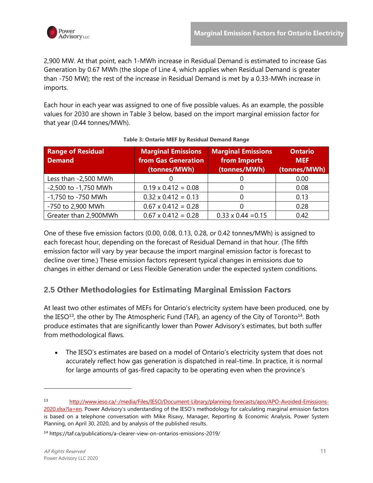2,900 MW. At that point, each 1-MWh increase in Residual Demand is estimated to increase Gas Generation by 0.67 MWh (the slope of Line 4, which applies when Residual Demand is greater than -750 MW); the rest of the increase in Residual Demand is met by a 0.33-MWh increase in imports.

Each hour in each year was assigned to one of five possible values. As an example, the possible values for 2030 are shown in [Table 3](#page-14-1) below, based on the import marginal emission factor for that year (0.44 tonnes/MWh).

<span id="page-14-1"></span>

| <b>Range of Residual</b><br><b>Demand</b> | <b>Marginal Emissions</b><br>from Gas Generation<br>(tonnes/MWh) | <b>Marginal Emissions</b><br>from Imports<br>(tonnes/MWh) | <b>Ontario</b><br><b>MEF</b><br>(tonnes/MWh) |  |
|-------------------------------------------|------------------------------------------------------------------|-----------------------------------------------------------|----------------------------------------------|--|
|                                           |                                                                  |                                                           |                                              |  |
| Less than -2,500 MWh                      |                                                                  |                                                           | 0.00                                         |  |
| -2,500 to -1,750 MWh                      | $0.19 \times 0.412 = 0.08$                                       |                                                           | 0.08                                         |  |
| -1,750 to -750 MWh                        | $0.32 \times 0.412 = 0.13$                                       |                                                           | 0.13                                         |  |
| -750 to 2,900 MWh                         | $0.67 \times 0.412 = 0.28$                                       |                                                           | 0.28                                         |  |
| Greater than 2,900MWh                     | $0.67 \times 0.412 = 0.28$                                       | $0.33 \times 0.44 = 0.15$                                 | 0.42                                         |  |

#### **Table 3: Ontario MEF by Residual Demand Range**

One of these five emission factors (0.00, 0.08, 0.13, 0.28, or 0.42 tonnes/MWh) is assigned to each forecast hour, depending on the forecast of Residual Demand in that hour. (The fifth emission factor will vary by year because the import marginal emission factor is forecast to decline over time.) These emission factors represent typical changes in emissions due to changes in either demand or Less Flexible Generation under the expected system conditions.

## <span id="page-14-0"></span>**2.5 Other Methodologies for Estimating Marginal Emission Factors**

At least two other estimates of MEFs for Ontario's electricity system have been produced, one by the IESO<sup>13</sup>, the other by The Atmospheric Fund (TAF), an agency of the City of Toronto<sup>14</sup>. Both produce estimates that are significantly lower than Power Advisory's estimates, but both suffer from methodological flaws.

The IESO's estimates are based on a model of Ontario's electricity system that does not accurately reflect how gas generation is dispatched in real-time. In practice, it is normal for large amounts of gas-fired capacity to be operating even when the province's

<sup>13</sup> [http://www.ieso.ca/-/media/Files/IESO/Document-Library/planning-forecasts/apo/APO-Avoided-Emissions-](http://www.ieso.ca/-/media/Files/IESO/Document-Library/planning-forecasts/apo/APO-Avoided-Emissions-2020.xlsx?la=en)[2020.xlsx?la=en.](http://www.ieso.ca/-/media/Files/IESO/Document-Library/planning-forecasts/apo/APO-Avoided-Emissions-2020.xlsx?la=en) Power Advisory's understanding of the IESO's methodology for calculating marginal emission factors is based on a telephone conversation with Mike Risavy, Manager, Reporting & Economic Analysis, Power System Planning, on April 30, 2020, and by analysis of the published results.

<sup>14</sup> https://taf.ca/publications/a-clearer-view-on-ontarios-emissions-2019/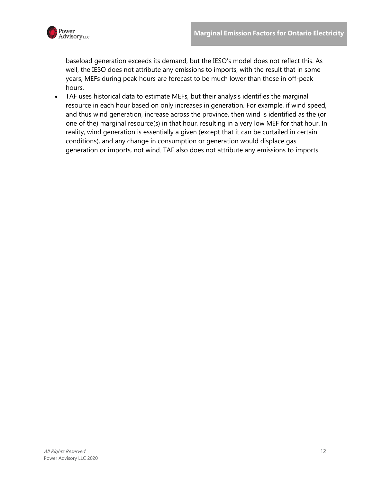

baseload generation exceeds its demand, but the IESO's model does not reflect this. As well, the IESO does not attribute any emissions to imports, with the result that in some years, MEFs during peak hours are forecast to be much lower than those in off-peak hours.

• TAF uses historical data to estimate MEFs, but their analysis identifies the marginal resource in each hour based on only increases in generation. For example, if wind speed, and thus wind generation, increase across the province, then wind is identified as the (or one of the) marginal resource(s) in that hour, resulting in a very low MEF for that hour. In reality, wind generation is essentially a given (except that it can be curtailed in certain conditions), and any change in consumption or generation would displace gas generation or imports, not wind. TAF also does not attribute any emissions to imports.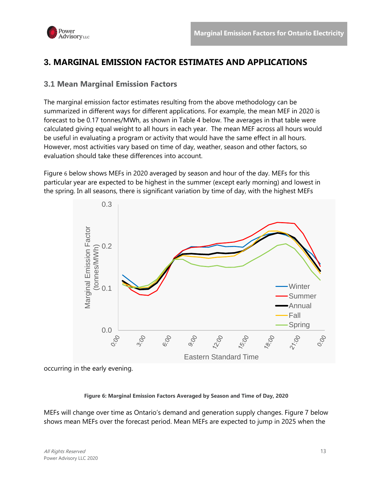

## <span id="page-16-0"></span>**3. MARGINAL EMISSION FACTOR ESTIMATES AND APPLICATIONS**

#### <span id="page-16-1"></span>**3.1 Mean Marginal Emission Factors**

The marginal emission factor estimates resulting from the above methodology can be summarized in different ways for different applications. For example, the mean MEF in 2020 is forecast to be 0.17 tonnes/MWh, as shown in Table 4 below. The averages in that table were calculated giving equal weight to all hours in each year. The mean MEF across all hours would be useful in evaluating a program or activity that would have the same effect in all hours. However, most activities vary based on time of day, weather, season and other factors, so evaluation should take these differences into account.

[Figure](#page-16-2) 6 below shows MEFs in 2020 averaged by season and hour of the day. MEFs for this particular year are expected to be highest in the summer (except early morning) and lowest in the spring. In all seasons, there is significant variation by time of day, with the highest MEFs



<span id="page-16-2"></span>occurring in the early evening.

#### **Figure 6: Marginal Emission Factors Averaged by Season and Time of Day, 2020**

MEFs will change over time as Ontario's demand and generation supply changes. [Figure 7](#page-17-0) below shows mean MEFs over the forecast period. Mean MEFs are expected to jump in 2025 when the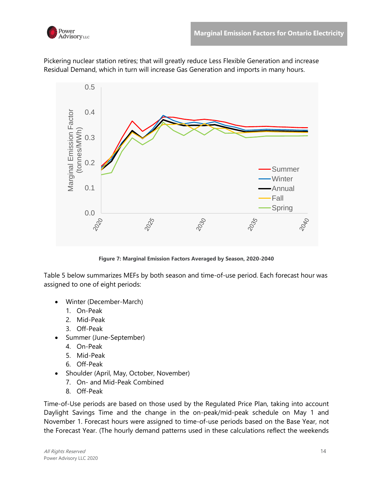

Pickering nuclear station retires; that will greatly reduce Less Flexible Generation and increase Residual Demand, which in turn will increase Gas Generation and imports in many hours.



**Figure 7: Marginal Emission Factors Averaged by Season, 2020-2040**

<span id="page-17-0"></span>[Table 5](#page-20-0) below summarizes MEFs by both season and time-of-use period. Each forecast hour was assigned to one of eight periods:

- Winter (December-March)
	- 1. On-Peak
	- 2. Mid-Peak
	- 3. Off-Peak
- Summer (June-September)
	- 4. On-Peak
	- 5. Mid-Peak
	- 6. Off-Peak
- Shoulder (April, May, October, November)
	- 7. On- and Mid-Peak Combined
	- 8. Off-Peak

Time-of-Use periods are based on those used by the Regulated Price Plan, taking into account Daylight Savings Time and the change in the on-peak/mid-peak schedule on May 1 and November 1. Forecast hours were assigned to time-of-use periods based on the Base Year, not the Forecast Year. (The hourly demand patterns used in these calculations reflect the weekends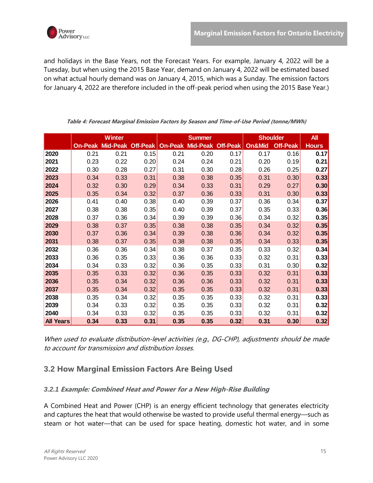

and holidays in the Base Years, not the Forecast Years. For example, January 4, 2022 will be a Tuesday, but when using the 2015 Base Year, demand on January 4, 2022 will be estimated based on what actual hourly demand was on January 4, 2015, which was a Sunday. The emission factors for January 4, 2022 are therefore included in the off-peak period when using the 2015 Base Year.)

|                  |                | <b>Winter</b>   |      |                    | <b>Summer</b>   |                 | <b>Shoulder</b> |                 | <b>All</b>   |
|------------------|----------------|-----------------|------|--------------------|-----------------|-----------------|-----------------|-----------------|--------------|
|                  | <b>On-Peak</b> | <b>Mid-Peak</b> |      | Off-Peak   On-Peak | <b>Mid-Peak</b> | <b>Off-Peak</b> | On&Mid          | <b>Off-Peak</b> | <b>Hours</b> |
| 2020             | 0.21           | 0.21            | 0.15 | 0.21               | 0.20            | 0.17            | 0.17            | 0.16            | 0.17         |
| 2021             | 0.23           | 0.22            | 0.20 | 0.24               | 0.24            | 0.21            | 0.20            | 0.19            | 0.21         |
| 2022             | 0.30           | 0.28            | 0.27 | 0.31               | 0.30            | 0.28            | 0.26            | 0.25            | 0.27         |
| 2023             | 0.34           | 0.33            | 0.31 | 0.38               | 0.38            | 0.35            | 0.31            | 0.30            | 0.33         |
| 2024             | 0.32           | 0.30            | 0.29 | 0.34               | 0.33            | 0.31            | 0.29            | 0.27            | 0.30         |
| 2025             | 0.35           | 0.34            | 0.32 | 0.37               | 0.36            | 0.33            | 0.31            | 0.30            | 0.33         |
| 2026             | 0.41           | 0.40            | 0.38 | 0.40               | 0.39            | 0.37            | 0.36            | 0.34            | 0.37         |
| 2027             | 0.38           | 0.38            | 0.35 | 0.40               | 0.39            | 0.37            | 0.35            | 0.33            | 0.36         |
| 2028             | 0.37           | 0.36            | 0.34 | 0.39               | 0.39            | 0.36            | 0.34            | 0.32            | 0.35         |
| 2029             | 0.38           | 0.37            | 0.35 | 0.38               | 0.38            | 0.35            | 0.34            | 0.32            | 0.35         |
| 2030             | 0.37           | 0.36            | 0.34 | 0.39               | 0.38            | 0.36            | 0.34            | 0.32            | 0.35         |
| 2031             | 0.38           | 0.37            | 0.35 | 0.38               | 0.38            | 0.35            | 0.34            | 0.33            | 0.35         |
| 2032             | 0.36           | 0.36            | 0.34 | 0.38               | 0.37            | 0.35            | 0.33            | 0.32            | 0.34         |
| 2033             | 0.36           | 0.35            | 0.33 | 0.36               | 0.36            | 0.33            | 0.32            | 0.31            | 0.33         |
| 2034             | 0.34           | 0.33            | 0.32 | 0.36               | 0.35            | 0.33            | 0.31            | 0.30            | 0.32         |
| 2035             | 0.35           | 0.33            | 0.32 | 0.36               | 0.35            | 0.33            | 0.32            | 0.31            | 0.33         |
| 2036             | 0.35           | 0.34            | 0.32 | 0.36               | 0.36            | 0.33            | 0.32            | 0.31            | 0.33         |
| 2037             | 0.35           | 0.34            | 0.32 | 0.35               | 0.35            | 0.33            | 0.32            | 0.31            | 0.33         |
| 2038             | 0.35           | 0.34            | 0.32 | 0.35               | 0.35            | 0.33            | 0.32            | 0.31            | 0.33         |
| 2039             | 0.34           | 0.33            | 0.32 | 0.35               | 0.35            | 0.33            | 0.32            | 0.31            | 0.32         |
| 2040             | 0.34           | 0.33            | 0.32 | 0.35               | 0.35            | 0.33            | 0.32            | 0.31            | 0.32         |
| <b>All Years</b> | 0.34           | 0.33            | 0.31 | 0.35               | 0.35            | 0.32            | 0.31            | 0.30            | 0.32         |

**Table 4: Forecast Marginal Emission Factors by Season and Time-of-Use Period (tonne/MWh)**

When used to evaluate distribution-level activities (e.g., DG-CHP), adjustments should be made to account for transmission and distribution losses.

## <span id="page-18-0"></span>**3.2 How Marginal Emission Factors Are Being Used**

#### <span id="page-18-1"></span>*3.2.1* **Example: Combined Heat and Power for a New High-Rise Building**

A Combined Heat and Power (CHP) is an energy efficient technology that generates electricity and captures the heat that would otherwise be wasted to provide useful thermal energy—such as steam or hot water—that can be used for space heating, domestic hot water, and in some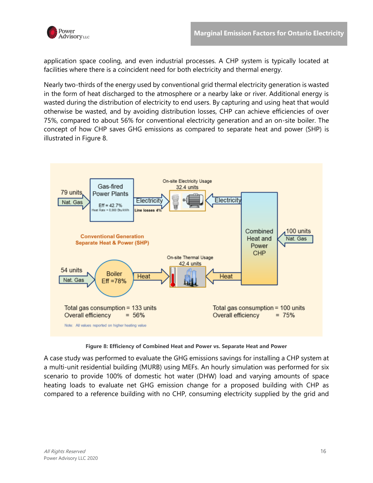

application space cooling, and even industrial processes. A CHP system is typically located at facilities where there is a coincident need for both electricity and thermal energy.

Nearly two-thirds of the energy used by conventional grid thermal electricity generation is wasted in the form of heat discharged to the atmosphere or a nearby lake or river. Additional energy is wasted during the distribution of electricity to end users. By capturing and using heat that would otherwise be wasted, and by avoiding distribution losses, CHP can achieve efficiencies of over 75%, compared to about 56% for conventional electricity generation and an on-site boiler. The concept of how CHP saves GHG emissions as compared to separate heat and power (SHP) is illustrated in [Figure 8.](#page-19-0)



**Figure 8: Efficiency of Combined Heat and Power vs. Separate Heat and Power**

<span id="page-19-0"></span>A case study was performed to evaluate the GHG emissions savings for installing a CHP system at a multi-unit residential building (MURB) using MEFs. An hourly simulation was performed for six scenario to provide 100% of domestic hot water (DHW) load and varying amounts of space heating loads to evaluate net GHG emission change for a proposed building with CHP as compared to a reference building with no CHP, consuming electricity supplied by the grid and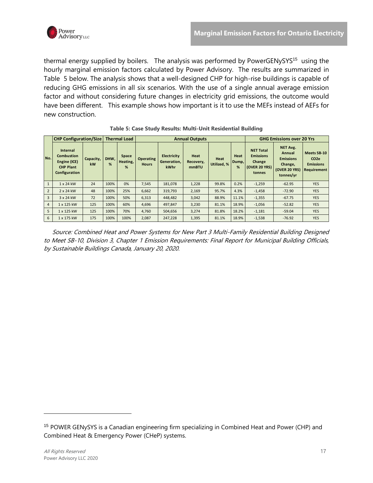

thermal energy supplied by boilers. The analysis was performed by PowerGENySYS<sup>15</sup> using the hourly marginal emission factors calculated by Power Advisory. The results are summarized in Table 5 below. The analysis shows that a well-designed CHP for high-rise buildings is capable of reducing GHG emissions in all six scenarios. With the use of a single annual average emission factor and without considering future changes in electricity grid emissions, the outcome would have been different. This example shows how important is it to use the MEFs instead of AEFs for new construction.

<span id="page-20-0"></span>

|                | <b>CHP Configuration/Size</b>                                                             |                 |           | <b>Thermal Load</b>    | <b>Annual Outputs</b>            |                                           |                                   |                     |                    | <b>GHG Emissions over 20 Yrs</b>                                                 |                                                                                        |                                                                    |
|----------------|-------------------------------------------------------------------------------------------|-----------------|-----------|------------------------|----------------------------------|-------------------------------------------|-----------------------------------|---------------------|--------------------|----------------------------------------------------------------------------------|----------------------------------------------------------------------------------------|--------------------------------------------------------------------|
| No.            | <b>Internal</b><br><b>Combustion</b><br>Engine (ICE)<br><b>CHP Plant</b><br>Configuration | Capacity,<br>kW | DHW.<br>% | Space<br>Heating,<br>% | <b>Operating</b><br><b>Hours</b> | <b>Electricity</b><br>Generation,<br>kWhr | Heat<br>Recovery,<br><b>mmBTU</b> | Heat<br>Utilized, % | Heat<br>Dump,<br>% | <b>NET Total</b><br><b>Emissions</b><br>Change<br><b>(OVER 20 YRS)</b><br>tonnes | NET Avg.<br>Annual<br><b>Emissions</b><br>Change,<br><b>(OVER 20 YRS)</b><br>tonnes/yr | Meets SB-10<br>CO <sub>2e</sub><br><b>Emissions</b><br>Requirement |
| $\mathbf{1}$   | 1 x 24 kW                                                                                 | 24              | 100%      | 0%                     | 7,545                            | 181,078                                   | 1,228                             | 99.8%               | 0.2%               | $-1,259$                                                                         | $-62.95$                                                                               | <b>YES</b>                                                         |
| $\overline{2}$ | 2 x 24 kW                                                                                 | 48              | 100%      | 25%                    | 6,662                            | 319,793                                   | 2,169                             | 95.7%               | 4.3%               | $-1,458$                                                                         | $-72.90$                                                                               | <b>YES</b>                                                         |
| 3              | 3 x 24 kW                                                                                 | 72              | 100%      | 50%                    | 6,313                            | 448,482                                   | 3,042                             | 88.9%               | 11.1%              | $-1,355$                                                                         | $-67.75$                                                                               | <b>YES</b>                                                         |
| $\overline{4}$ | 1 x 125 kW                                                                                | 125             | 100%      | 60%                    | 4,696                            | 497.847                                   | 3,230                             | 81.1%               | 18.9%              | $-1,056$                                                                         | $-52.82$                                                                               | <b>YES</b>                                                         |
| 5              | 1 x 125 kW                                                                                | 125             | 100%      | 70%                    | 4,760                            | 504,656                                   | 3,274                             | 81.8%               | 18.2%              | $-1,181$                                                                         | $-59.04$                                                                               | <b>YES</b>                                                         |
| 6              | 1 x 175 kW                                                                                | 175             | 100%      | 100%                   | 2,087                            | 247.228                                   | 1,395                             | 81.1%               | 18.9%              | $-1,538$                                                                         | $-76.92$                                                                               | <b>YES</b>                                                         |

|  |  | Table 5: Case Study Results: Multi-Unit Residential Building |
|--|--|--------------------------------------------------------------|
|--|--|--------------------------------------------------------------|

 Source: Combined Heat and Power Systems for New Part 3 Multi-Family Residential Building Designed to Meet SB-10, Division 3, Chapter 1 Emission Requirements: Final Report for Municipal Building Officials, by Sustainable Buildings Canada, January 20, 2020.

<sup>&</sup>lt;sup>15</sup> POWER GENySYS is a Canadian engineering firm specializing in Combined Heat and Power (CHP) and Combined Heat & Emergency Power (CHeP) systems.